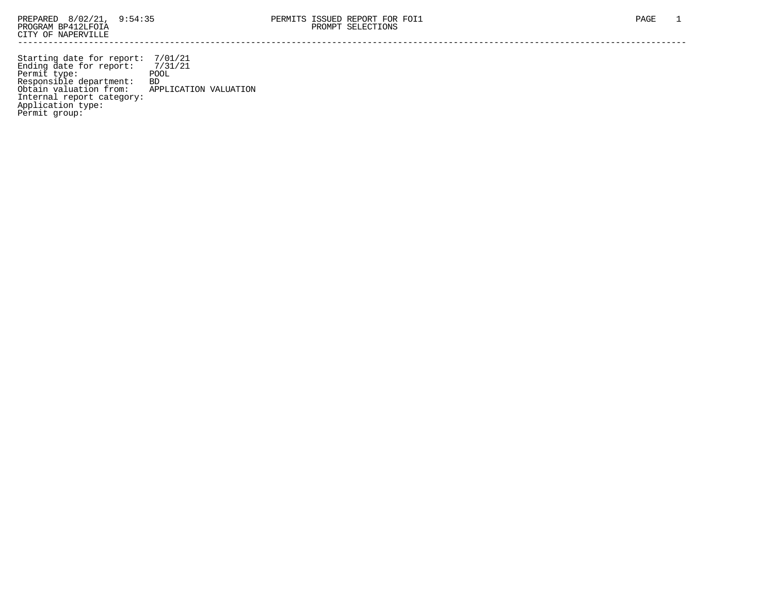Starting date for report: 7/01/21 Ending date for report: 7/31/21 Permit type: The POOL Responsible department: BD Obtain valuation from: APPLICATION VALUATION Internal report category: Application type: Permit group: